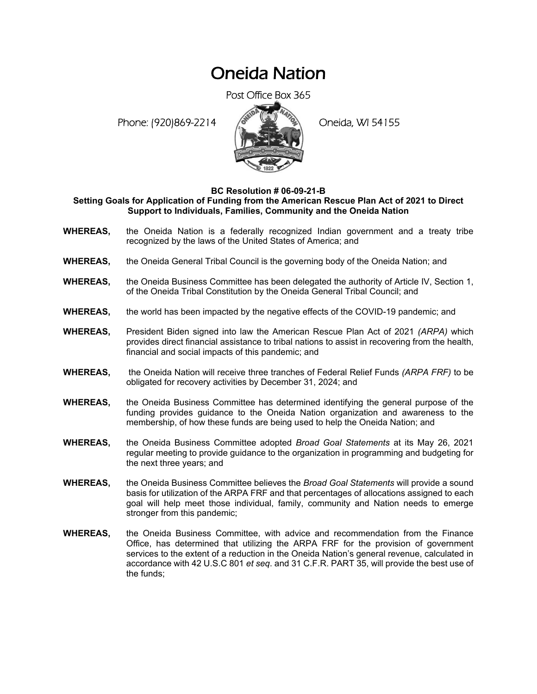# Oneida Nation

Post Office Box 365

Phone: (920)869-2214 (Oneida, WI 54155



## **BC Resolution # 06-09-21-B**

**Setting Goals for Application of Funding from the American Rescue Plan Act of 2021 to Direct Support to Individuals, Families, Community and the Oneida Nation**

- **WHEREAS,** the Oneida Nation is a federally recognized Indian government and a treaty tribe recognized by the laws of the United States of America; and
- **WHEREAS,** the Oneida General Tribal Council is the governing body of the Oneida Nation; and
- **WHEREAS,** the Oneida Business Committee has been delegated the authority of Article IV, Section 1, of the Oneida Tribal Constitution by the Oneida General Tribal Council; and
- **WHEREAS,** the world has been impacted by the negative effects of the COVID-19 pandemic; and
- **WHEREAS,** President Biden signed into law the American Rescue Plan Act of 2021 *(ARPA)* which provides direct financial assistance to tribal nations to assist in recovering from the health, financial and social impacts of this pandemic; and
- **WHEREAS,** the Oneida Nation will receive three tranches of Federal Relief Funds *(ARPA FRF)* to be obligated for recovery activities by December 31, 2024; and
- **WHEREAS,** the Oneida Business Committee has determined identifying the general purpose of the funding provides guidance to the Oneida Nation organization and awareness to the membership, of how these funds are being used to help the Oneida Nation; and
- **WHEREAS,** the Oneida Business Committee adopted *Broad Goal Statements* at its May 26, 2021 regular meeting to provide guidance to the organization in programming and budgeting for the next three years; and
- **WHEREAS,** the Oneida Business Committee believes the *Broad Goal Statements* will provide a sound basis for utilization of the ARPA FRF and that percentages of allocations assigned to each goal will help meet those individual, family, community and Nation needs to emerge stronger from this pandemic;
- **WHEREAS,** the Oneida Business Committee, with advice and recommendation from the Finance Office, has determined that utilizing the ARPA FRF for the provision of government services to the extent of a reduction in the Oneida Nation's general revenue, calculated in accordance with 42 U.S.C 801 *et seq*. and 31 C.F.R. PART 35, will provide the best use of the funds;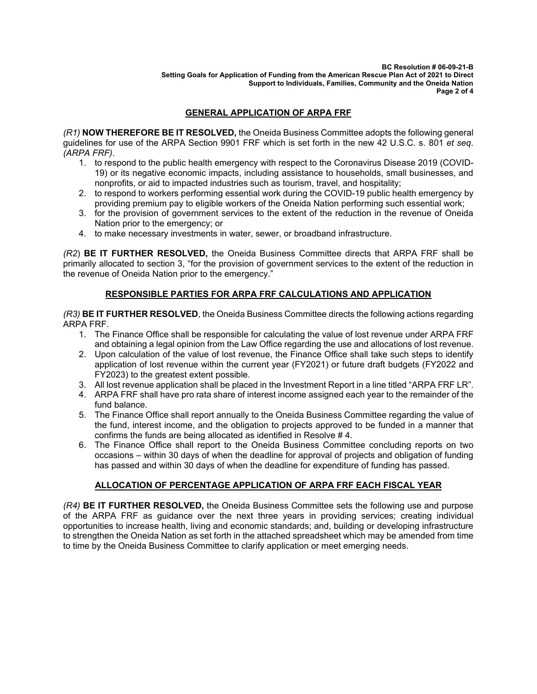**BC Resolution # 06-09-21-B Setting Goals for Application of Funding from the American Rescue Plan Act of 2021 to Direct Support to Individuals, Families, Community and the Oneida Nation Page 2 of 4**

## **GENERAL APPLICATION OF ARPA FRF**

*(R1)* **NOW THEREFORE BE IT RESOLVED,** the Oneida Business Committee adopts the following general guidelines for use of the ARPA Section 9901 FRF which is set forth in the new 42 U.S.C. s. 801 *et seq*. *(ARPA FRF)*.

- 1. to respond to the public health emergency with respect to the Coronavirus Disease 2019 (COVID-19) or its negative economic impacts, including assistance to households, small businesses, and nonprofits, or aid to impacted industries such as tourism, travel, and hospitality;
- 2. to respond to workers performing essential work during the COVID-19 public health emergency by providing premium pay to eligible workers of the Oneida Nation performing such essential work;
- 3. for the provision of government services to the extent of the reduction in the revenue of Oneida Nation prior to the emergency; or
- 4. to make necessary investments in water, sewer, or broadband infrastructure.

*(R2*) **BE IT FURTHER RESOLVED,** the Oneida Business Committee directs that ARPA FRF shall be primarily allocated to section 3, "for the provision of government services to the extent of the reduction in the revenue of Oneida Nation prior to the emergency."

## **RESPONSIBLE PARTIES FOR ARPA FRF CALCULATIONS AND APPLICATION**

*(R3)* **BE IT FURTHER RESOLVED**, the Oneida Business Committee directs the following actions regarding ARPA FRF.

- 1. The Finance Office shall be responsible for calculating the value of lost revenue under ARPA FRF and obtaining a legal opinion from the Law Office regarding the use and allocations of lost revenue.
- 2. Upon calculation of the value of lost revenue, the Finance Office shall take such steps to identify application of lost revenue within the current year (FY2021) or future draft budgets (FY2022 and FY2023) to the greatest extent possible.
- 3. All lost revenue application shall be placed in the Investment Report in a line titled "ARPA FRF LR".
- 4. ARPA FRF shall have pro rata share of interest income assigned each year to the remainder of the fund balance.
- 5. The Finance Office shall report annually to the Oneida Business Committee regarding the value of the fund, interest income, and the obligation to projects approved to be funded in a manner that confirms the funds are being allocated as identified in Resolve # 4.
- 6. The Finance Office shall report to the Oneida Business Committee concluding reports on two occasions – within 30 days of when the deadline for approval of projects and obligation of funding has passed and within 30 days of when the deadline for expenditure of funding has passed.

### **ALLOCATION OF PERCENTAGE APPLICATION OF ARPA FRF EACH FISCAL YEAR**

*(R4)* **BE IT FURTHER RESOLVED,** the Oneida Business Committee sets the following use and purpose of the ARPA FRF as guidance over the next three years in providing services; creating individual opportunities to increase health, living and economic standards; and, building or developing infrastructure to strengthen the Oneida Nation as set forth in the attached spreadsheet which may be amended from time to time by the Oneida Business Committee to clarify application or meet emerging needs.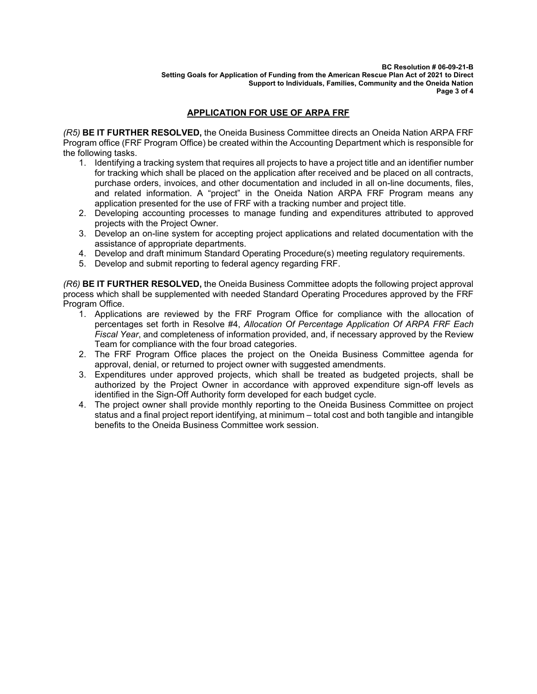**BC Resolution # 06-09-21-B Setting Goals for Application of Funding from the American Rescue Plan Act of 2021 to Direct Support to Individuals, Families, Community and the Oneida Nation Page 3 of 4**

## **APPLICATION FOR USE OF ARPA FRF**

*(R5)* **BE IT FURTHER RESOLVED,** the Oneida Business Committee directs an Oneida Nation ARPA FRF Program office (FRF Program Office) be created within the Accounting Department which is responsible for the following tasks.

- 1. Identifying a tracking system that requires all projects to have a project title and an identifier number for tracking which shall be placed on the application after received and be placed on all contracts, purchase orders, invoices, and other documentation and included in all on-line documents, files, and related information. A "project" in the Oneida Nation ARPA FRF Program means any application presented for the use of FRF with a tracking number and project title.
- 2. Developing accounting processes to manage funding and expenditures attributed to approved projects with the Project Owner.
- 3. Develop an on-line system for accepting project applications and related documentation with the assistance of appropriate departments.
- 4. Develop and draft minimum Standard Operating Procedure(s) meeting regulatory requirements.
- 5. Develop and submit reporting to federal agency regarding FRF.

*(R6)* **BE IT FURTHER RESOLVED,** the Oneida Business Committee adopts the following project approval process which shall be supplemented with needed Standard Operating Procedures approved by the FRF Program Office.

- 1. Applications are reviewed by the FRF Program Office for compliance with the allocation of percentages set forth in Resolve #4, *Allocation Of Percentage Application Of ARPA FRF Each Fiscal Year*, and completeness of information provided, and, if necessary approved by the Review Team for compliance with the four broad categories.
- 2. The FRF Program Office places the project on the Oneida Business Committee agenda for approval, denial, or returned to project owner with suggested amendments.
- 3. Expenditures under approved projects, which shall be treated as budgeted projects, shall be authorized by the Project Owner in accordance with approved expenditure sign-off levels as identified in the Sign-Off Authority form developed for each budget cycle.
- 4. The project owner shall provide monthly reporting to the Oneida Business Committee on project status and a final project report identifying, at minimum – total cost and both tangible and intangible benefits to the Oneida Business Committee work session.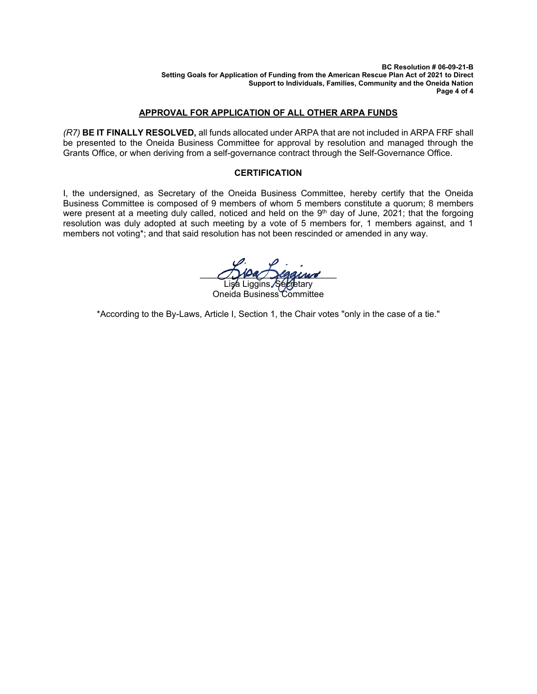**BC Resolution # 06-09-21-B Setting Goals for Application of Funding from the American Rescue Plan Act of 2021 to Direct Support to Individuals, Families, Community and the Oneida Nation Page 4 of 4**

#### **APPROVAL FOR APPLICATION OF ALL OTHER ARPA FUNDS**

*(R7)* **BE IT FINALLY RESOLVED,** all funds allocated under ARPA that are not included in ARPA FRF shall be presented to the Oneida Business Committee for approval by resolution and managed through the Grants Office, or when deriving from a self-governance contract through the Self-Governance Office.

### **CERTIFICATION**

I, the undersigned, as Secretary of the Oneida Business Committee, hereby certify that the Oneida Business Committee is composed of 9 members of whom 5 members constitute a quorum; 8 members were present at a meeting duly called, noticed and held on the 9<sup>th</sup> day of June, 2021; that the forgoing resolution was duly adopted at such meeting by a vote of 5 members for, 1 members against, and 1 members not voting\*; and that said resolution has not been rescinded or amended in any way.

 $\bigcirc$  stea $\bigcirc$ lggund Lis⁄a Liggins, *S*e*cr*etary Oneida Business Committee

\*According to the By-Laws, Article I, Section 1, the Chair votes "only in the case of a tie."